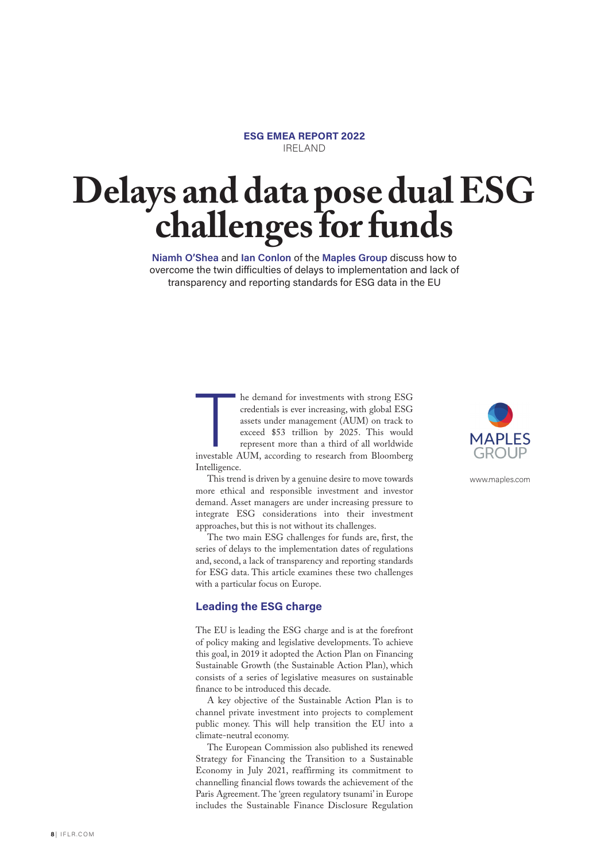

## **Delays and data pose dual ESG challenges for funds**

**Niamh O'Shea** and **Ian Conlon** of the **Maples Group** discuss how to overcome the twin difficulties of delays to implementation and lack of transparency and reporting standards for ESG data in the EU

> T he demand for investments with strong ESG credentials is ever increasing, with global ESG assets under management (AUM) on track to exceed \$53 trillion by 2025. This would represent more than a third of all worldwide investable AUM, according to research from Bloomberg Intelligence.

> This trend is driven by a genuine desire to move towards more ethical and responsible investment and investor demand. Asset managers are under increasing pressure to integrate ESG considerations into their investment approaches, but this is not without its challenges.

> The two main ESG challenges for funds are, first, the series of delays to the implementation dates of regulations and, second, a lack of transparency and reporting standards for ESG data. This article examines these two challenges with a particular focus on Europe.

## **Leading the ESG charge**

The EU is leading the ESG charge and is at the forefront of policy making and legislative developments. To achieve this goal, in 2019 it adopted the Action Plan on Financing Sustainable Growth (the Sustainable Action Plan), which consists of a series of legislative measures on sustainable finance to be introduced this decade.

A key objective of the Sustainable Action Plan is to channel private investment into projects to complement public money. This will help transition the EU into a climate-neutral economy.

The European Commission also published its renewed Strategy for Financing the Transition to a Sustainable Economy in July 2021, reaffirming its commitment to channelling financial flows towards the achievement of the Paris Agreement. The 'green regulatory tsunami' in Europe includes the Sustainable Finance Disclosure Regulation



www.maples.com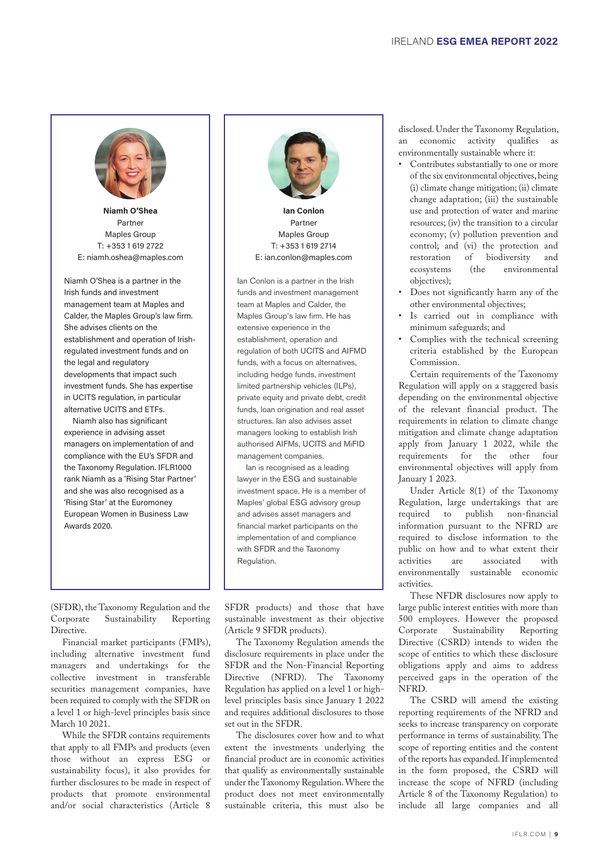**Niamh O'Shea**  Partner Maples Group

Niamh O'Shea is a partner in the Irish funds and investment management team at Maples and Calder, the Maples Group's law firm. She advises clients on the establishment and operation of Irishregulated investment funds and on the legal and regulatory developments that impact such investment funds. She has expertise in UCITS regulation, in particular alternative UCITS and ETFs.

Niamh also has significant experience in advising asset managers on implementation of and compliance with the EU's SFDR and the Taxonomy Regulation. IFLR1000 rank Niamh as a 'Rising Star Partner' and she was also recognised as a 'Rising Star' at the Euromoney European Women in Business Law Awards 2020.

(SFDR), the Taxonomy Regulation and the Corporate Sustainability Reporting Directive.

Financial market participants (FMPs), including alternative investment fund managers and undertakings for the collective investment in transferable securities management companies, have been required to comply with the SFDR on a level 1 or high-level principles basis since March 10 2021.

While the SFDR contains requirements that apply to all FMPs and products (even those without an express ESG or sustainability focus), it also provides for further disclosures to be made in respect of products that promote environmental and/or social characteristics (Article 8

SFDR products) and those that have sustainable investment as their objective (Article 9 SFDR products).

The Taxonomy Regulation amends the disclosure requirements in place under the SFDR and the Non-Financial Reporting Directive (NFRD). The Taxonomy Regulation has applied on a level 1 or highlevel principles basis since January 1 2022 and requires additional disclosures to those set out in the SFDR.

The disclosures cover how and to what extent the investments underlying the financial product are in economic activities that qualify as environmentally sustainable under the Taxonomy Regulation. Where the product does not meet environmentally sustainable criteria, this must also be disclosed. Under the Taxonomy Regulation, an economic activity qualifies as environmentally sustainable where it:

- Contributes substantially to one or more of the six environmental objectives, being (i) climate change mitigation; (ii) climate change adaptation; (iii) the sustainable use and protection of water and marine resources; (iv) the transition to a circular economy; (v) pollution prevention and control; and (vi) the protection and restoration of biodiversity and<br>ecosystems (the environmental ecosystems (the environmental objectives);
- Does not significantly harm any of the other environmental objectives;
- Is carried out in compliance with minimum safeguards; and
- Complies with the technical screening criteria established by the European Commission.

Certain requirements of the Taxonomy Regulation will apply on a staggered basis depending on the environmental objective of the relevant financial product. The requirements in relation to climate change mitigation and climate change adaptation apply from January 1 2022, while the requirements for the other four environmental objectives will apply from January 1 2023.

Under Article 8(1) of the Taxonomy Regulation, large undertakings that are required to publish non-financial information pursuant to the NFRD are required to disclose information to the public on how and to what extent their activities are associated with environmentally sustainable economic activities.

These NFDR disclosures now apply to large public interest entities with more than 500 employees. However the proposed Corporate Sustainability Reporting Directive (CSRD) intends to widen the scope of entities to which these disclosure obligations apply and aims to address perceived gaps in the operation of the NFRD.

The CSRD will amend the existing reporting requirements of the NFRD and seeks to increase transparency on corporate performance in terms of sustainability. The scope of reporting entities and the content of the reports has expanded. If implemented in the form proposed, the CSRD will increase the scope of NFRD (including Article 8 of the Taxonomy Regulation) to include all large companies and all

**Ian Conlon** Partner Maples Group T: +353 1 619 2714

E: ian.conlon@maples.com

Ian Conlon is a partner in the Irish funds and investment management team at Maples and Calder, the Maples Group's law firm. He has extensive experience in the establishment, operation and regulation of both UCITS and AIFMD funds, with a focus on alternatives, including hedge funds, investment limited partnership vehicles (ILPs), private equity and private debt, credit funds, loan origination and real asset structures. Ian also advises asset managers looking to establish Irish authorised AIFMs, UCITS and MiFID management companies.

Ian is recognised as a leading lawyer in the ESG and sustainable investment space. He is a member of Maples' global ESG advisory group and advises asset managers and financial market participants on the implementation of and compliance with SFDR and the Taxonomy Regulation.

T: +353 1 619 2722 E: niamh.oshea@maples.com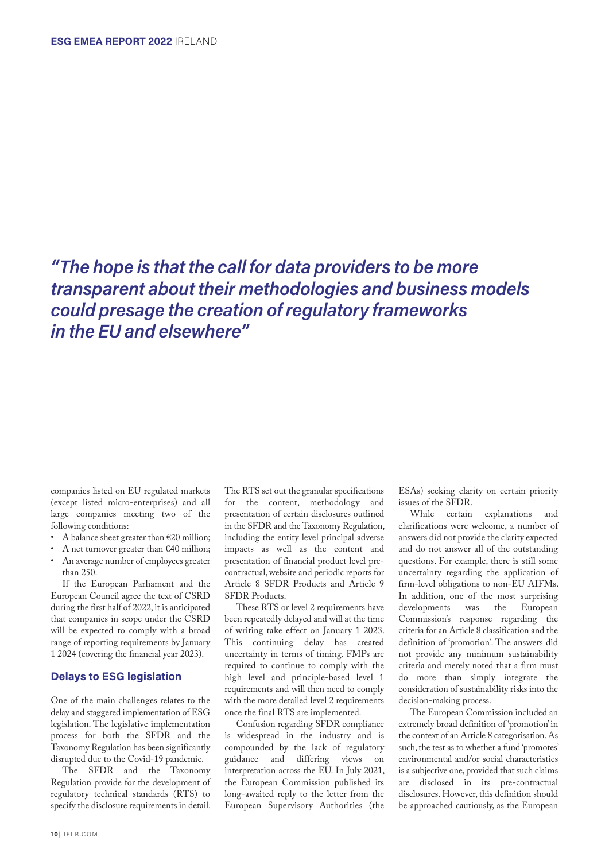*"The hope is that the call for data providers to be more transparent about their methodologies and business models could presage the creation of regulatory frameworks in the EU and elsewhere"*

companies listed on EU regulated markets (except listed micro-enterprises) and all large companies meeting two of the following conditions:

- A balance sheet greater than €20 million;
- A net turnover greater than €40 million;
- An average number of employees greater than 250.

If the European Parliament and the European Council agree the text of CSRD during the first half of 2022, it is anticipated that companies in scope under the CSRD will be expected to comply with a broad range of reporting requirements by January 1 2024 (covering the financial year 2023).

## **Delays to ESG legislation**

One of the main challenges relates to the delay and staggered implementation of ESG legislation. The legislative implementation process for both the SFDR and the Taxonomy Regulation has been significantly disrupted due to the Covid-19 pandemic.

The SFDR and the Taxonomy Regulation provide for the development of regulatory technical standards (RTS) to specify the disclosure requirements in detail.

The RTS set out the granular specifications for the content, methodology and presentation of certain disclosures outlined in the SFDR and the Taxonomy Regulation, including the entity level principal adverse impacts as well as the content and presentation of financial product level precontractual, website and periodic reports for Article 8 SFDR Products and Article 9 SFDR Products.

These RTS or level 2 requirements have been repeatedly delayed and will at the time of writing take effect on January 1 2023. This continuing delay has created uncertainty in terms of timing. FMPs are required to continue to comply with the high level and principle-based level 1 requirements and will then need to comply with the more detailed level 2 requirements once the final RTS are implemented.

Confusion regarding SFDR compliance is widespread in the industry and is compounded by the lack of regulatory guidance and differing views on interpretation across the EU. In July 2021, the European Commission published its long-awaited reply to the letter from the European Supervisory Authorities (the

ESAs) seeking clarity on certain priority

issues of the SFDR. explanations and clarifications were welcome, a number of answers did not provide the clarity expected and do not answer all of the outstanding questions. For example, there is still some uncertainty regarding the application of firm-level obligations to non-EU AIFMs. In addition, one of the most surprising developments was the European Commission's response regarding the criteria for an Article 8 classification and the definition of 'promotion'. The answers did not provide any minimum sustainability criteria and merely noted that a firm must do more than simply integrate the consideration of sustainability risks into the decision-making process.

The European Commission included an extremely broad definition of 'promotion' in the context of an Article 8 categorisation. As such, the test as to whether a fund 'promotes' environmental and/or social characteristics is a subjective one, provided that such claims are disclosed in its pre-contractual disclosures. However, this definition should be approached cautiously, as the European